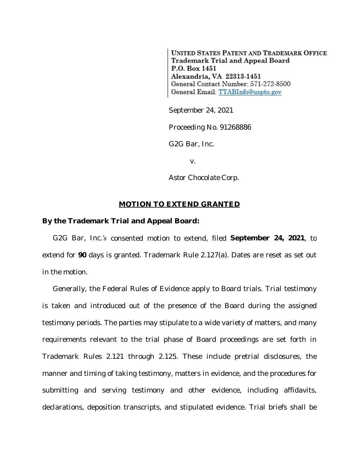**UNITED STATES PATENT AND TRADEMARK OFFICE** Trademark Trial and Appeal Board P.O. Box 1451 Alexandria, VA 22313-1451 General Contact Number: 571-272-8500 General Email: TTABInfo@uspto.gov

September 24, 2021

Proceeding No. 91268886

*G2G Bar, Inc.*

v.

*Astor Chocolate Corp.*

## **MOTION TO EXTEND GRANTED**

## **By the Trademark Trial and Appeal Board:**

*G2G Bar, Inc.'s* consented motion to extend, filed **September 24, 2021**, to extend for **90** days is granted. Trademark Rule 2.127(a). Dates are reset as set out in the motion.

Generally, the Federal Rules of Evidence apply to Board trials. Trial testimony is taken and introduced out of the presence of the Board during the assigned testimony periods. The parties may stipulate to a wide variety of matters, and many requirements relevant to the trial phase of Board proceedings are set forth in Trademark Rules 2.121 through 2.125. These include pretrial disclosures, the manner and timing of taking testimony, matters in evidence, and the procedures for submitting and serving testimony and other evidence, including affidavits, declarations, deposition transcripts, and stipulated evidence. Trial briefs shall be